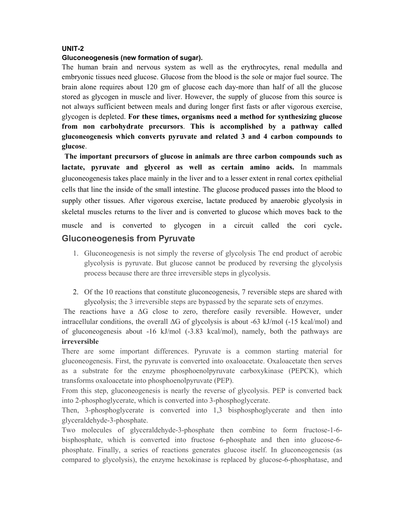## **UNIT-2**

#### **Gluconeogenesis (new formation of sugar).**

The human brain and nervous system as well as the erythrocytes, renal medulla and embryonic tissues need glucose. Glucose from the blood is the sole or major fuel source. The brain alone requires about 120 gm of glucose each day-more than half of all the glucose stored as glycogen in muscle and liver. However, the supply of glucose from this source is not always sufficient between meals and during longer first fasts or after vigorous exercise, glycogen is depleted. **For these times, organisms need a method for synthesizing glucose from non carbohydrate precursors**. **This is accomplished by a pathway called gluconeogenesis which converts pyruvate and related 3 and 4 carbon compounds to glucose**.

**The important precursors of glucose in animals are three carbon compounds such as lactate, pyruvate and glycerol as well as certain amino acids.** In mammals gluconeogenesis takes place mainly in the liver and to a lesser extent in renal cortex epithelial cells that line the inside of the small intestine. The glucose produced passes into the blood to supply other tissues. After vigorous exercise, lactate produced by anaerobic glycolysis in skeletal muscles returns to the liver and is converted to glucose which moves back to the muscle and is converted to glycogen in a circuit called the cori cycle.

# **Gluconeogenesis from Pyruvate**

- 1. Gluconeogenesis is not simply the reverse of glycolysis The end product of aerobic glycolysis is pyruvate. But glucose cannot be produced by reversing the glycolysis process because there are three irreversible steps in glycolysis.
- 2. Of the 10 reactions that constitute gluconeogenesis, 7 reversible steps are shared with glycolysis; the 3 irreversible steps are bypassed by the separate sets of enzymes.

The reactions have a  $\Delta G$  close to zero, therefore easily reversible. However, under intracellular conditions, the overall  $\Delta G$  of glycolysis is about -63 kJ/mol (-15 kcal/mol) and of gluconeogenesis about -16 kJ/mol (-3.83 kcal/mol), namely, both the pathways are **irreversible**

There are some important differences. Pyruvate is a common starting material for gluconeogenesis. First, the pyruvate is converted into oxaloacetate. Oxaloacetate then serves as a substrate for the enzyme phosphoenolpyruvate carboxykinase (PEPCK), which transforms oxaloacetate into phosphoenolpyruvate (PEP).

From this step, gluconeogenesis is nearly the reverse of glycolysis. PEP is converted back into 2-phosphoglycerate, which is converted into 3-phosphoglycerate.

Then, 3-phosphoglycerate is converted into 1,3 bisphosphoglycerate and then into glyceraldehyde-3-phosphate.

Two molecules of glyceraldehyde-3-phosphate then combine to form fructose-1-6 bisphosphate, which is converted into fructose 6-phosphate and then into glucose-6 phosphate. Finally, a series of reactions generates glucose itself. In gluconeogenesis (as compared to glycolysis), the enzyme hexokinase is replaced by glucose-6-phosphatase, and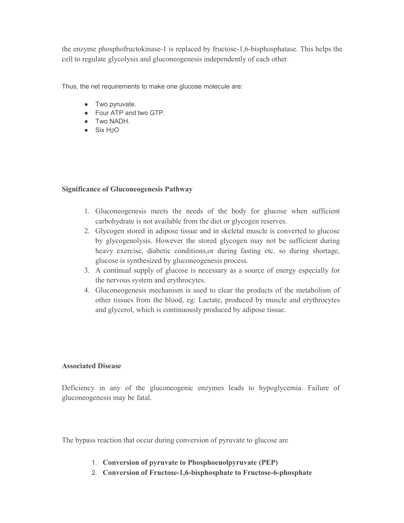the enzyme phosphofructokinase-1 is replaced by fructose-1,6-bisphosphatase. This helps the cell to regulate glycolysis and gluconeogenesis independently of each other.

Thus, the net requirements to make one glucose molecule are:

- Two pyruvate.
- Four ATP and two GTP.
- Two NADH.
- Six H2O

## **Significance of Gluconeogenesis Pathway**

- 1. Gluconeogenesis meets the needs of the body for glucose when sufficient carbohydrate is not available from the diet or glycogen reserves. 2. Glucone ogenesis meets the needs of the body for glucose when sufficient carbohydrate is not available from the diet or glycogen reserves.<br>2. Glycogen stored in adipose tissue and in skeletal muscle is converted to gluc
- by glycogenolysis. However the stored glycogen may not be sufficient during heavy exercise, diabetic conditions,or during fasting etc. so during shortage, glucose is synthesized by gluconeogenesis process. Gluconeogenesis meets the needs of the body<br>carbohydrate is not available from the diet or glyco<sub>g</sub><br>Glycogen stored in adipose tissue and in skeletal r<br>by glycogenolysis. However the stored glycogen<br>heavy exercise, diabeti
- 3. A continual supply of glucose is necessary as a source of energy especially for the nervous system and erythrocytes.
- 4. Gluconeogenesis mechanism is used to clear the products of the metabolism of other tissues from the blood, eg: Lactate, produced by muscle and erythrocytes and glycerol, which is continuously produced by adipose tissue. A continual supply of glucose is necessary as a source of energy especially for<br>the nervous system and erythrocytes.<br>Gluconeogenesis mechanism is used to clear the produced of the metabolism of<br>other tissues from the blood

## **Associated Disease**

Deficiency in any of the gluconeogenic enzymes leads to hypoglycemia. Failure of gluconeogenesis may be fatal.

The bypass reaction that occur during conversion of pyruvate to glucose are

- 1. **Conversion of pyruvate to Phosphoenolpyruvate (PEP)**
- 2. **Conversion of Fructose Fructose-1,6-bisphosphate to Fructose-6-phosphate phosphate**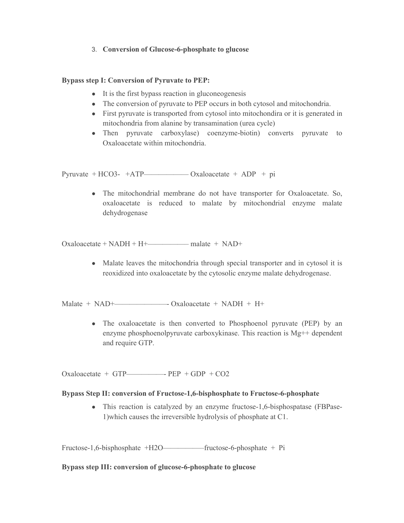# 3. **Conversion of Glucose-6-phosphate to glucose**

# **Bypass step I: Conversion of Pyruvate to PEP:**

- It is the first bypass reaction in gluconeogenesis
- The conversion of pyruvate to PEP occurs in both cytosol and mitochondria.
- First pyruvate is transported from cytosol into mitochondira or it is generated in mitochondria from alanine by transamination (urea cycle)
- Then pyruvate carboxylase) coenzyme-biotin) converts pyruvate to Oxaloacetate within mitochondria.

Pyruvate + HCO3- +ATP—————————— Oxaloacetate + ADP + pi

• The mitochondrial membrane do not have transporter for Oxaloacetate. So, oxaloacetate is reduced to malate by mitochondrial enzyme malate dehydrogenase

Oxaloacetate + NADH + H+—————– malate + NAD+

• Malate leaves the mitochondria through special transporter and in cytosol it is reoxidized into oxaloacetate by the cytosolic enzyme malate dehydrogenase.

Malate + NAD+———————- Oxaloacetate + NADH + H+

• The oxaloacetate is then converted to Phosphoenol pyruvate (PEP) by an enzyme phosphoenolpyruvate carboxykinase. This reaction is Mg++ dependent and require GTP.

Oxaloacetate + GTP—————- PEP + GDP + CO2

## **Bypass Step II: conversion of Fructose-1,6-bisphosphate to Fructose-6-phosphate**

• This reaction is catalyzed by an enzyme fructose-1,6-bisphospatase (FBPase-1)which causes the irreversible hydrolysis of phosphate at C1.

Fructose-1,6-bisphosphate +H2O—————–fructose-6-phosphate + Pi

## **Bypass step III: conversion of glucose-6-phosphate to glucose**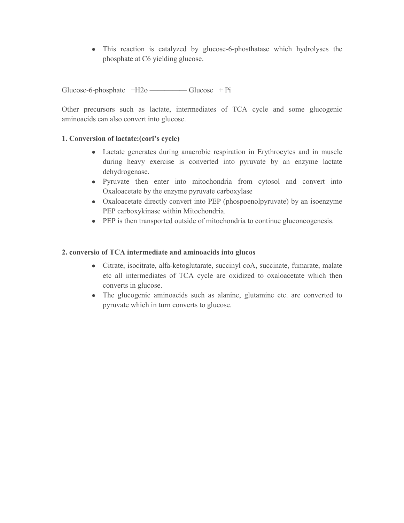• This reaction is catalyzed by glucose-6-phosthatase which hydrolyses the phosphate at C6 yielding glucose.

Glucose-6-phosphate  $+H2o$  ——————— Glucose  $+Pi$ 

Other precursors such as lactate, intermediates of TCA cycle and some glucogenic aminoacids can also convert into glucose.

# **1. Conversion of lactate:(cori's cycle)**

- Lactate generates during anaerobic respiration in Erythrocytes and in muscle during heavy exercise is converted into pyruvate by an enzyme lactate dehydrogenase.
- Pyruvate then enter into mitochondria from cytosol and convert into Oxaloacetate by the enzyme pyruvate carboxylase
- Oxaloacetate directly convert into PEP (phospoenolpyruvate) by an isoenzyme PEP carboxykinase within Mitochondria.
- PEP is then transported outside of mitochondria to continue gluconeogenesis.

# **2. conversio of TCA intermediate and aminoacids into glucos**

- Citrate, isocitrate, alfa-ketoglutarate, succinyl coA, succinate, fumarate, malate etc all intermediates of TCA cycle are oxidized to oxaloacetate which then converts in glucose.
- The glucogenic aminoacids such as alanine, glutamine etc. are converted to pyruvate which in turn converts to glucose.